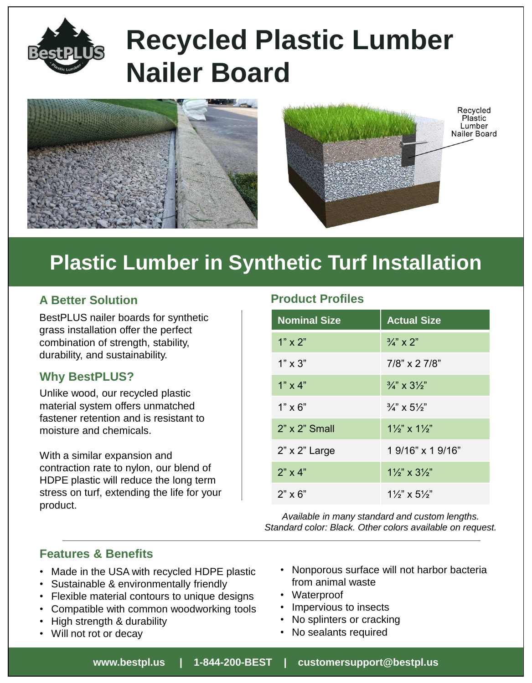

# **Recycled Plastic Lumber Nailer Board**



# **Plastic Lumber in Synthetic Turf Installation**

BestPLUS nailer boards for synthetic grass installation offer the perfect combination of strength, stability, durability, and sustainability.

### **Why BestPLUS?**

Unlike wood, our recycled plastic material system offers unmatched fastener retention and is resistant to moisture and chemicals.

With a similar expansion and contraction rate to nylon, our blend of HDPE plastic will reduce the long term stress on turf, extending the life for your product.

## **A Better Solution Product Profiles**

| <b>Nominal Size</b>  | <b>Actual Size</b>                  |
|----------------------|-------------------------------------|
| $1" \times 2"$       | $\frac{3}{4}$ " x 2"                |
| $1" \times 3"$       | $7/8$ " x 2 $7/8$ "                 |
| $1" \times 4"$       | $\frac{3}{4}$ " x $3\frac{1}{2}$ "  |
| $1" \times 6"$       | $\frac{3}{4}$ " x 5 $\frac{1}{2}$ " |
| $2"$ x $2"$ Small    | $1\frac{1}{2}$ x $1\frac{1}{2}$     |
| $2" \times 2"$ Large | 1 9/16" x 1 9/16"                   |
| $2" \times 4"$       | $1\frac{1}{2}$ x $3\frac{1}{2}$     |
| $2" \times 6"$       | $1\frac{1}{2}$ x 5 $\frac{1}{2}$    |

*Available in many standard and custom lengths. Standard color: Black. Other colors available on request.*

## **Features & Benefits**

- Made in the USA with recycled HDPE plastic
- Sustainable & environmentally friendly
- Flexible material contours to unique designs
- Compatible with common woodworking tools
- High strength & durability
- Will not rot or decay
- Nonporous surface will not harbor bacteria from animal waste
- Waterproof
- Impervious to insects
- No splinters or cracking
- No sealants required